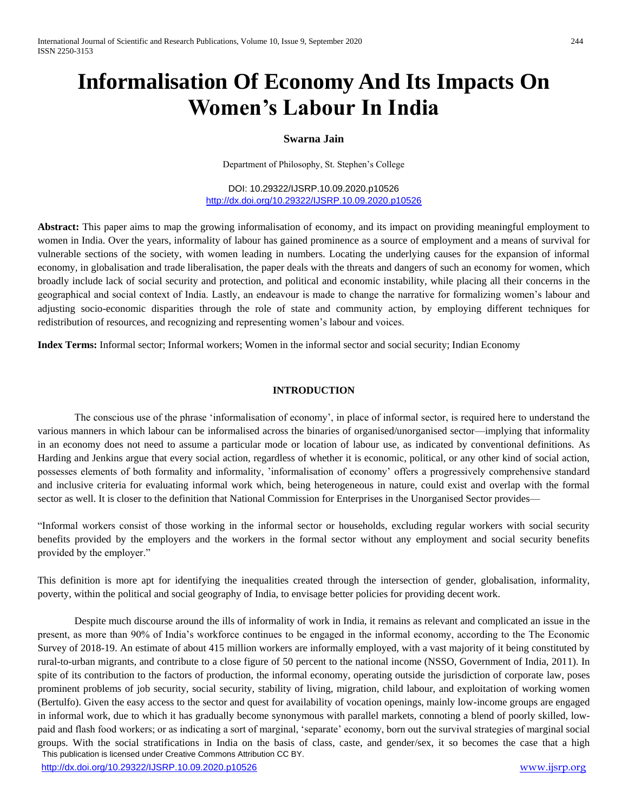# **Informalisation Of Economy And Its Impacts On Women's Labour In India**

# **Swarna Jain**

Department of Philosophy, St. Stephen's College

DOI: 10.29322/IJSRP.10.09.2020.p10526 <http://dx.doi.org/10.29322/IJSRP.10.09.2020.p10526>

**Abstract:** This paper aims to map the growing informalisation of economy, and its impact on providing meaningful employment to women in India. Over the years, informality of labour has gained prominence as a source of employment and a means of survival for vulnerable sections of the society, with women leading in numbers. Locating the underlying causes for the expansion of informal economy, in globalisation and trade liberalisation, the paper deals with the threats and dangers of such an economy for women, which broadly include lack of social security and protection, and political and economic instability, while placing all their concerns in the geographical and social context of India. Lastly, an endeavour is made to change the narrative for formalizing women's labour and adjusting socio-economic disparities through the role of state and community action, by employing different techniques for redistribution of resources, and recognizing and representing women's labour and voices.

**Index Terms:** Informal sector; Informal workers; Women in the informal sector and social security; Indian Economy

# **INTRODUCTION**

The conscious use of the phrase 'informalisation of economy', in place of informal sector, is required here to understand the various manners in which labour can be informalised across the binaries of organised/unorganised sector—implying that informality in an economy does not need to assume a particular mode or location of labour use, as indicated by conventional definitions. As Harding and Jenkins argue that every social action, regardless of whether it is economic, political, or any other kind of social action, possesses elements of both formality and informality, 'informalisation of economy' offers a progressively comprehensive standard and inclusive criteria for evaluating informal work which, being heterogeneous in nature, could exist and overlap with the formal sector as well. It is closer to the definition that National Commission for Enterprises in the Unorganised Sector provides—

"Informal workers consist of those working in the informal sector or households, excluding regular workers with social security benefits provided by the employers and the workers in the formal sector without any employment and social security benefits provided by the employer."

This definition is more apt for identifying the inequalities created through the intersection of gender, globalisation, informality, poverty, within the political and social geography of India, to envisage better policies for providing decent work.

 This publication is licensed under Creative Commons Attribution CC BY. Despite much discourse around the ills of informality of work in India, it remains as relevant and complicated an issue in the present, as more than 90% of India's workforce continues to be engaged in the informal economy, according to the The Economic Survey of 2018-19. An estimate of about 415 million workers are informally employed, with a vast majority of it being constituted by rural-to-urban migrants, and contribute to a close figure of 50 percent to the national income (NSSO, Government of India, 2011). In spite of its contribution to the factors of production, the informal economy, operating outside the jurisdiction of corporate law, poses prominent problems of job security, social security, stability of living, migration, child labour, and exploitation of working women (Bertulfo). Given the easy access to the sector and quest for availability of vocation openings, mainly low-income groups are engaged in informal work, due to which it has gradually become synonymous with parallel markets, connoting a blend of poorly skilled, lowpaid and flash food workers; or as indicating a sort of marginal, 'separate' economy, born out the survival strategies of marginal social groups. With the social stratifications in India on the basis of class, caste, and gender/sex, it so becomes the case that a high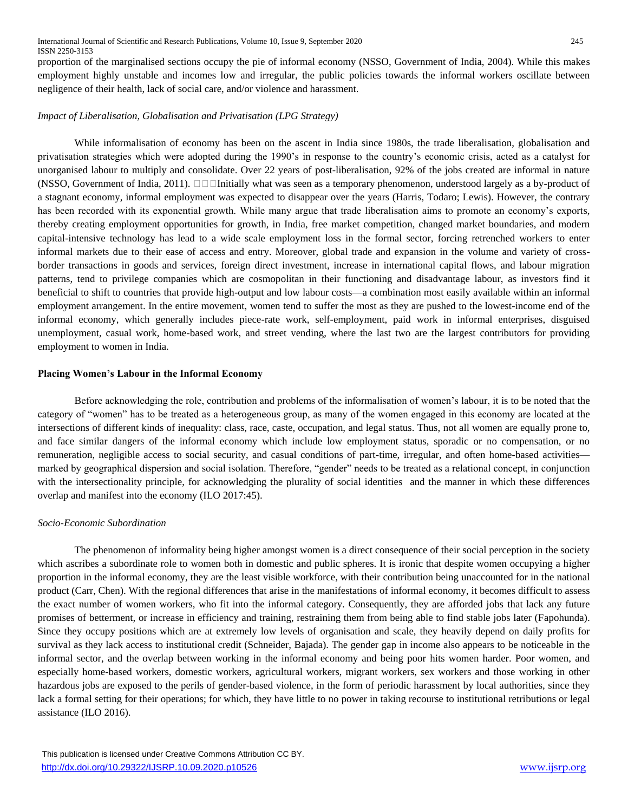proportion of the marginalised sections occupy the pie of informal economy (NSSO, Government of India, 2004). While this makes employment highly unstable and incomes low and irregular, the public policies towards the informal workers oscillate between negligence of their health, lack of social care, and/or violence and harassment.

# *Impact of Liberalisation, Globalisation and Privatisation (LPG Strategy)*

While informalisation of economy has been on the ascent in India since 1980s, the trade liberalisation, globalisation and privatisation strategies which were adopted during the 1990's in response to the country's economic crisis, acted as a catalyst for unorganised labour to multiply and consolidate. Over 22 years of post-liberalisation, 92% of the jobs created are informal in nature (NSSO, Government of India, 2011).  $\Box\Box$  Initially what was seen as a temporary phenomenon, understood largely as a by-product of a stagnant economy, informal employment was expected to disappear over the years (Harris, Todaro; Lewis). However, the contrary has been recorded with its exponential growth. While many argue that trade liberalisation aims to promote an economy's exports, thereby creating employment opportunities for growth, in India, free market competition, changed market boundaries, and modern capital-intensive technology has lead to a wide scale employment loss in the formal sector, forcing retrenched workers to enter informal markets due to their ease of access and entry. Moreover, global trade and expansion in the volume and variety of crossborder transactions in goods and services, foreign direct investment, increase in international capital flows, and labour migration patterns, tend to privilege companies which are cosmopolitan in their functioning and disadvantage labour, as investors find it beneficial to shift to countries that provide high-output and low labour costs—a combination most easily available within an informal employment arrangement. In the entire movement, women tend to suffer the most as they are pushed to the lowest-income end of the informal economy, which generally includes piece-rate work, self-employment, paid work in informal enterprises, disguised unemployment, casual work, home-based work, and street vending, where the last two are the largest contributors for providing employment to women in India.

## **Placing Women's Labour in the Informal Economy**

Before acknowledging the role, contribution and problems of the informalisation of women's labour, it is to be noted that the category of "women" has to be treated as a heterogeneous group, as many of the women engaged in this economy are located at the intersections of different kinds of inequality: class, race, caste, occupation, and legal status. Thus, not all women are equally prone to, and face similar dangers of the informal economy which include low employment status, sporadic or no compensation, or no remuneration, negligible access to social security, and casual conditions of part-time, irregular, and often home-based activities marked by geographical dispersion and social isolation. Therefore, "gender" needs to be treated as a relational concept, in conjunction with the intersectionality principle, for acknowledging the plurality of social identities and the manner in which these differences overlap and manifest into the economy (ILO 2017:45).

## *Socio-Economic Subordination*

The phenomenon of informality being higher amongst women is a direct consequence of their social perception in the society which ascribes a subordinate role to women both in domestic and public spheres. It is ironic that despite women occupying a higher proportion in the informal economy, they are the least visible workforce, with their contribution being unaccounted for in the national product (Carr, Chen). With the regional differences that arise in the manifestations of informal economy, it becomes difficult to assess the exact number of women workers, who fit into the informal category. Consequently, they are afforded jobs that lack any future promises of betterment, or increase in efficiency and training, restraining them from being able to find stable jobs later (Fapohunda). Since they occupy positions which are at extremely low levels of organisation and scale, they heavily depend on daily profits for survival as they lack access to institutional credit (Schneider, Bajada). The gender gap in income also appears to be noticeable in the informal sector, and the overlap between working in the informal economy and being poor hits women harder. Poor women, and especially home-based workers, domestic workers, agricultural workers, migrant workers, sex workers and those working in other hazardous jobs are exposed to the perils of gender-based violence, in the form of periodic harassment by local authorities, since they lack a formal setting for their operations; for which, they have little to no power in taking recourse to institutional retributions or legal assistance (ILO 2016).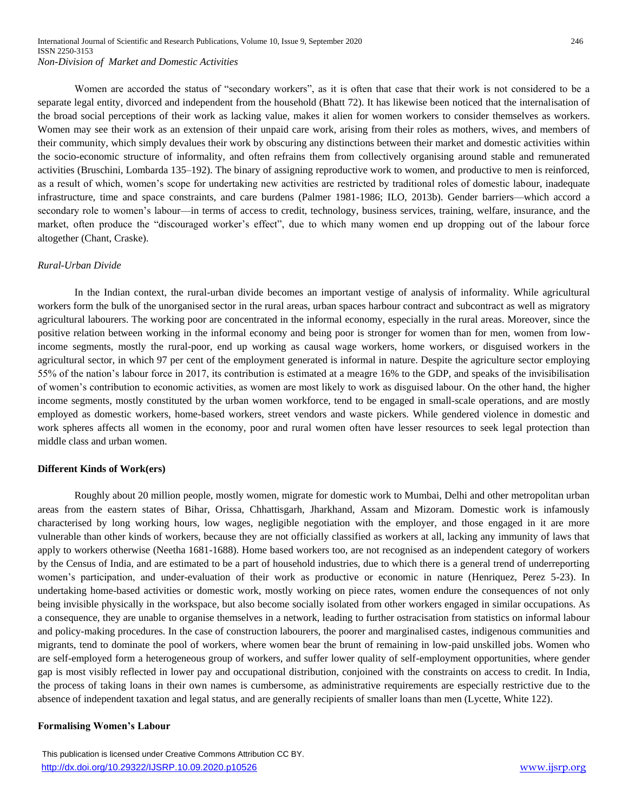Women are accorded the status of "secondary workers", as it is often that case that their work is not considered to be a separate legal entity, divorced and independent from the household (Bhatt 72). It has likewise been noticed that the internalisation of the broad social perceptions of their work as lacking value, makes it alien for women workers to consider themselves as workers. Women may see their work as an extension of their unpaid care work, arising from their roles as mothers, wives, and members of their community, which simply devalues their work by obscuring any distinctions between their market and domestic activities within the socio-economic structure of informality, and often refrains them from collectively organising around stable and remunerated activities (Bruschini, Lombarda 135–192). The binary of assigning reproductive work to women, and productive to men is reinforced, as a result of which, women's scope for undertaking new activities are restricted by traditional roles of domestic labour, inadequate infrastructure, time and space constraints, and care burdens (Palmer 1981-1986; ILO, 2013b). Gender barriers—which accord a secondary role to women's labour—in terms of access to credit, technology, business services, training, welfare, insurance, and the market, often produce the "discouraged worker's effect", due to which many women end up dropping out of the labour force altogether (Chant, Craske).

#### *Rural-Urban Divide*

In the Indian context, the rural-urban divide becomes an important vestige of analysis of informality. While agricultural workers form the bulk of the unorganised sector in the rural areas, urban spaces harbour contract and subcontract as well as migratory agricultural labourers. The working poor are concentrated in the informal economy, especially in the rural areas. Moreover, since the positive relation between working in the informal economy and being poor is stronger for women than for men, women from lowincome segments, mostly the rural-poor, end up working as causal wage workers, home workers, or disguised workers in the agricultural sector, in which 97 per cent of the employment generated is informal in nature. Despite the agriculture sector employing 55% of the nation's labour force in 2017, its contribution is estimated at a meagre 16% to the GDP, and speaks of the invisibilisation of women's contribution to economic activities, as women are most likely to work as disguised labour. On the other hand, the higher income segments, mostly constituted by the urban women workforce, tend to be engaged in small-scale operations, and are mostly employed as domestic workers, home-based workers, street vendors and waste pickers. While gendered violence in domestic and work spheres affects all women in the economy, poor and rural women often have lesser resources to seek legal protection than middle class and urban women.

## **Different Kinds of Work(ers)**

Roughly about 20 million people, mostly women, migrate for domestic work to Mumbai, Delhi and other metropolitan urban areas from the eastern states of Bihar, Orissa, Chhattisgarh, Jharkhand, Assam and Mizoram. Domestic work is infamously characterised by long working hours, low wages, negligible negotiation with the employer, and those engaged in it are more vulnerable than other kinds of workers, because they are not officially classified as workers at all, lacking any immunity of laws that apply to workers otherwise (Neetha 1681-1688). Home based workers too, are not recognised as an independent category of workers by the Census of India, and are estimated to be a part of household industries, due to which there is a general trend of underreporting women's participation, and under-evaluation of their work as productive or economic in nature (Henriquez, Perez 5-23). In undertaking home-based activities or domestic work, mostly working on piece rates, women endure the consequences of not only being invisible physically in the workspace, but also become socially isolated from other workers engaged in similar occupations. As a consequence, they are unable to organise themselves in a network, leading to further ostracisation from statistics on informal labour and policy-making procedures. In the case of construction labourers, the poorer and marginalised castes, indigenous communities and migrants, tend to dominate the pool of workers, where women bear the brunt of remaining in low-paid unskilled jobs. Women who are self-employed form a heterogeneous group of workers, and suffer lower quality of self-employment opportunities, where gender gap is most visibly reflected in lower pay and occupational distribution, conjoined with the constraints on access to credit. In India, the process of taking loans in their own names is cumbersome, as administrative requirements are especially restrictive due to the absence of independent taxation and legal status, and are generally recipients of smaller loans than men (Lycette, White 122).

#### **Formalising Women's Labour**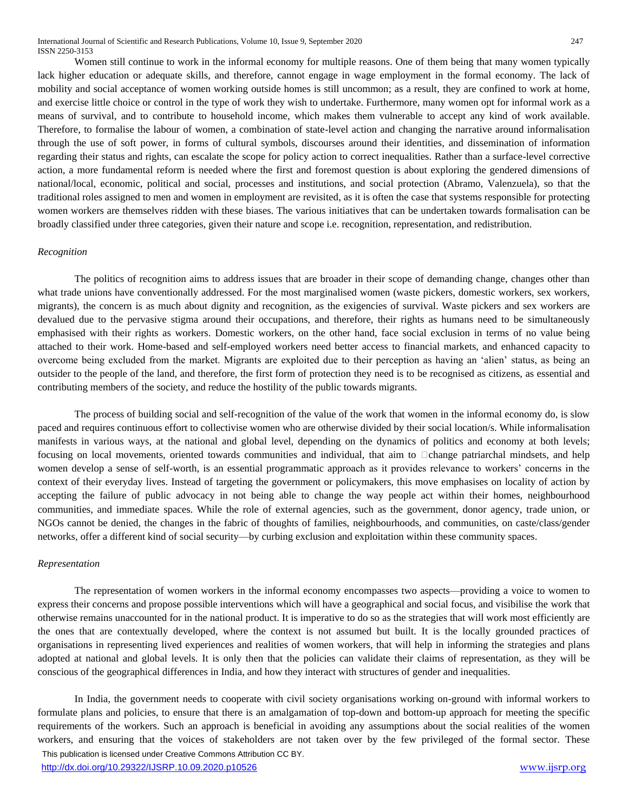Women still continue to work in the informal economy for multiple reasons. One of them being that many women typically lack higher education or adequate skills, and therefore, cannot engage in wage employment in the formal economy. The lack of mobility and social acceptance of women working outside homes is still uncommon; as a result, they are confined to work at home, and exercise little choice or control in the type of work they wish to undertake. Furthermore, many women opt for informal work as a means of survival, and to contribute to household income, which makes them vulnerable to accept any kind of work available. Therefore, to formalise the labour of women, a combination of state-level action and changing the narrative around informalisation through the use of soft power, in forms of cultural symbols, discourses around their identities, and dissemination of information regarding their status and rights, can escalate the scope for policy action to correct inequalities. Rather than a surface-level corrective action, a more fundamental reform is needed where the first and foremost question is about exploring the gendered dimensions of national/local, economic, political and social, processes and institutions, and social protection (Abramo, Valenzuela), so that the traditional roles assigned to men and women in employment are revisited, as it is often the case that systems responsible for protecting women workers are themselves ridden with these biases. The various initiatives that can be undertaken towards formalisation can be broadly classified under three categories, given their nature and scope i.e. recognition, representation, and redistribution.

## *Recognition*

The politics of recognition aims to address issues that are broader in their scope of demanding change, changes other than what trade unions have conventionally addressed. For the most marginalised women (waste pickers, domestic workers, sex workers, migrants), the concern is as much about dignity and recognition, as the exigencies of survival. Waste pickers and sex workers are devalued due to the pervasive stigma around their occupations, and therefore, their rights as humans need to be simultaneously emphasised with their rights as workers. Domestic workers, on the other hand, face social exclusion in terms of no value being attached to their work. Home-based and self-employed workers need better access to financial markets, and enhanced capacity to overcome being excluded from the market. Migrants are exploited due to their perception as having an 'alien' status, as being an outsider to the people of the land, and therefore, the first form of protection they need is to be recognised as citizens, as essential and contributing members of the society, and reduce the hostility of the public towards migrants.

The process of building social and self-recognition of the value of the work that women in the informal economy do, is slow paced and requires continuous effort to collectivise women who are otherwise divided by their social location/s. While informalisation manifests in various ways, at the national and global level, depending on the dynamics of politics and economy at both levels; focusing on local movements, oriented towards communities and individual, that aim to  $\Box$ change patriarchal mindsets, and help women develop a sense of self-worth, is an essential programmatic approach as it provides relevance to workers' concerns in the context of their everyday lives. Instead of targeting the government or policymakers, this move emphasises on locality of action by accepting the failure of public advocacy in not being able to change the way people act within their homes, neighbourhood communities, and immediate spaces. While the role of external agencies, such as the government, donor agency, trade union, or NGOs cannot be denied, the changes in the fabric of thoughts of families, neighbourhoods, and communities, on caste/class/gender networks, offer a different kind of social security—by curbing exclusion and exploitation within these community spaces.

## *Representation*

The representation of women workers in the informal economy encompasses two aspects—providing a voice to women to express their concerns and propose possible interventions which will have a geographical and social focus, and visibilise the work that otherwise remains unaccounted for in the national product. It is imperative to do so as the strategies that will work most efficiently are the ones that are contextually developed, where the context is not assumed but built. It is the locally grounded practices of organisations in representing lived experiences and realities of women workers, that will help in informing the strategies and plans adopted at national and global levels. It is only then that the policies can validate their claims of representation, as they will be conscious of the geographical differences in India, and how they interact with structures of gender and inequalities.

 This publication is licensed under Creative Commons Attribution CC BY. In India, the government needs to cooperate with civil society organisations working on-ground with informal workers to formulate plans and policies, to ensure that there is an amalgamation of top-down and bottom-up approach for meeting the specific requirements of the workers. Such an approach is beneficial in avoiding any assumptions about the social realities of the women workers, and ensuring that the voices of stakeholders are not taken over by the few privileged of the formal sector. These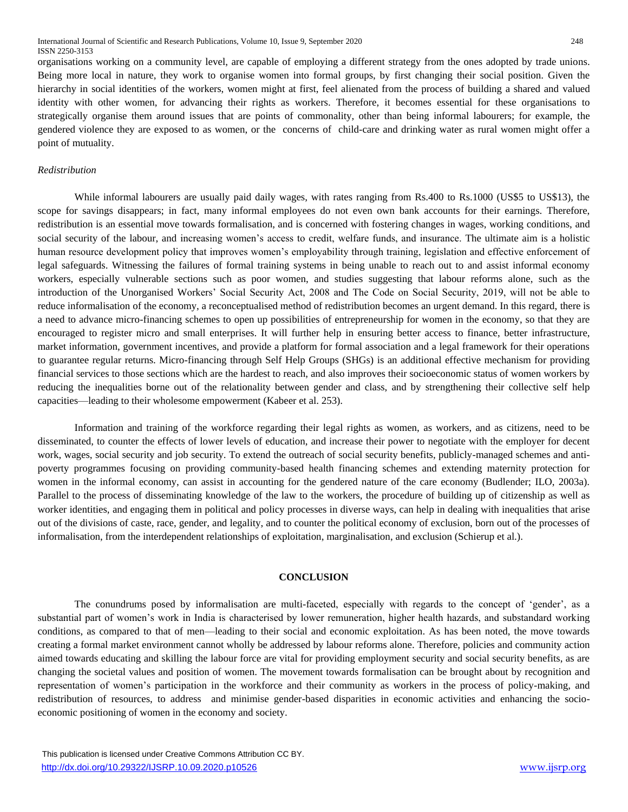organisations working on a community level, are capable of employing a different strategy from the ones adopted by trade unions. Being more local in nature, they work to organise women into formal groups, by first changing their social position. Given the hierarchy in social identities of the workers, women might at first, feel alienated from the process of building a shared and valued identity with other women, for advancing their rights as workers. Therefore, it becomes essential for these organisations to strategically organise them around issues that are points of commonality, other than being informal labourers; for example, the gendered violence they are exposed to as women, or the concerns of child-care and drinking water as rural women might offer a point of mutuality.

## *Redistribution*

While informal labourers are usually paid daily wages, with rates ranging from Rs.400 to Rs.1000 (US\$5 to US\$13), the scope for savings disappears; in fact, many informal employees do not even own bank accounts for their earnings. Therefore, redistribution is an essential move towards formalisation, and is concerned with fostering changes in wages, working conditions, and social security of the labour, and increasing women's access to credit, welfare funds, and insurance. The ultimate aim is a holistic human resource development policy that improves women's employability through training, legislation and effective enforcement of legal safeguards. Witnessing the failures of formal training systems in being unable to reach out to and assist informal economy workers, especially vulnerable sections such as poor women, and studies suggesting that labour reforms alone, such as the introduction of the Unorganised Workers' Social Security Act, 2008 and The Code on Social Security, 2019, will not be able to reduce informalisation of the economy, a reconceptualised method of redistribution becomes an urgent demand. In this regard, there is a need to advance micro-financing schemes to open up possibilities of entrepreneurship for women in the economy, so that they are encouraged to register micro and small enterprises. It will further help in ensuring better access to finance, better infrastructure, market information, government incentives, and provide a platform for formal association and a legal framework for their operations to guarantee regular returns. Micro-financing through Self Help Groups (SHGs) is an additional effective mechanism for providing financial services to those sections which are the hardest to reach, and also improves their socioeconomic status of women workers by reducing the inequalities borne out of the relationality between gender and class, and by strengthening their collective self help capacities—leading to their wholesome empowerment (Kabeer et al. 253).

Information and training of the workforce regarding their legal rights as women, as workers, and as citizens, need to be disseminated, to counter the effects of lower levels of education, and increase their power to negotiate with the employer for decent work, wages, social security and job security. To extend the outreach of social security benefits, publicly-managed schemes and antipoverty programmes focusing on providing community-based health financing schemes and extending maternity protection for women in the informal economy, can assist in accounting for the gendered nature of the care economy (Budlender; ILO, 2003a). Parallel to the process of disseminating knowledge of the law to the workers, the procedure of building up of citizenship as well as worker identities, and engaging them in political and policy processes in diverse ways, can help in dealing with inequalities that arise out of the divisions of caste, race, gender, and legality, and to counter the political economy of exclusion, born out of the processes of informalisation, from the interdependent relationships of exploitation, marginalisation, and exclusion (Schierup et al.).

# **CONCLUSION**

The conundrums posed by informalisation are multi-faceted, especially with regards to the concept of 'gender', as a substantial part of women's work in India is characterised by lower remuneration, higher health hazards, and substandard working conditions, as compared to that of men—leading to their social and economic exploitation. As has been noted, the move towards creating a formal market environment cannot wholly be addressed by labour reforms alone. Therefore, policies and community action aimed towards educating and skilling the labour force are vital for providing employment security and social security benefits, as are changing the societal values and position of women. The movement towards formalisation can be brought about by recognition and representation of women's participation in the workforce and their community as workers in the process of policy-making, and redistribution of resources, to address and minimise gender-based disparities in economic activities and enhancing the socioeconomic positioning of women in the economy and society.